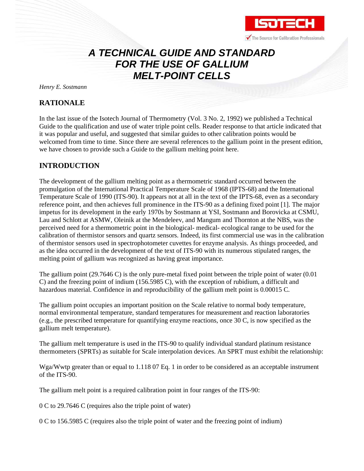

# *A TECHNICAL GUIDE AND STANDARD FOR THE USE OF GALLIUM MELT-POINT CELLS*

*Henry E. Sostmann*

## **RATIONALE**

In the last issue of the Isotech Journal of Thermometry (Vol. 3 No. 2, 1992) we published a Technical Guide to the qualification and use of water triple point cells. Reader response to that article indicated that it was popular and useful, and suggested that similar guides to other calibration points would be welcomed from time to time. Since there are several references to the gallium point in the present edition, we have chosen to provide such a Guide to the gallium melting point here.

## **INTRODUCTION**

The development of the gallium melting point as a thermometric standard occurred between the promulgation of the International Practical Temperature Scale of 1968 (IPTS-68) and the International Temperature Scale of 1990 (ITS-90). It appears not at all in the text of the IPTS-68, even as a secondary reference point, and then achieves full prominence in the ITS-90 as a defining fixed point [1]. The major impetus for its development in the early 1970s by Sostmann at YSI, Sostmann and Borovicka at CSMU, Lau and Schlott at ASMW, Oleinik at the Mendeleev, and Mangum and Thornton at the NBS, was the perceived need for a thermometric point in the biological- medical- ecological range to be used for the calibration of thermistor sensors and quartz sensors. Indeed, its first commercial use was in the calibration of thermistor sensors used in spectrophotometer cuvettes for enzyme analysis. As things proceeded, and as the idea occurred in the development of the text of ITS-90 with its numerous stipulated ranges, the melting point of gallium was recognized as having great importance.

The gallium point  $(29.7646 \text{ C})$  is the only pure-metal fixed point between the triple point of water  $(0.01$ C) and the freezing point of indium (156.5985 C), with the exception of rubidium, a difficult and hazardous material. Confidence in and reproducibility of the gallium melt point is 0.00015 C.

The gallium point occupies an important position on the Scale relative to normal body temperature, normal environmental temperature, standard temperatures for measurement and reaction laboratories (e.g., the prescribed temperature for quantifying enzyme reactions, once 30 C, is now specified as the gallium melt temperature).

The gallium melt temperature is used in the ITS-90 to qualify individual standard platinum resistance thermometers (SPRTs) as suitable for Scale interpolation devices. An SPRT must exhibit the relationship:

Wga/Wwtp greater than or equal to 1.118 07 Eq. 1 in order to be considered as an acceptable instrument of the ITS-90.

The gallium melt point is a required calibration point in four ranges of the ITS-90:

0 C to 29.7646 C (requires also the triple point of water)

0 C to 156.5985 C (requires also the triple point of water and the freezing point of indium)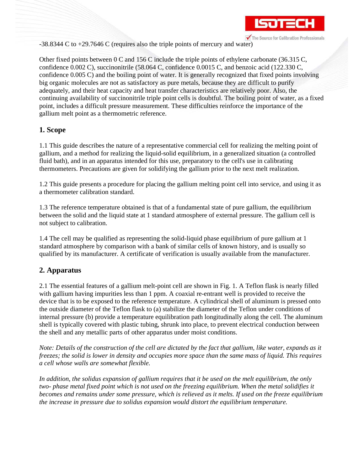

-38.8344 C to +29.7646 C (requires also the triple points of mercury and water)

Other fixed points between 0 C and 156 C include the triple points of ethylene carbonate (36.315 C, confidence 0.002 C), succinonitrile (58.064 C, confidence 0.0015 C, and benzoic acid (122.330 C, confidence 0.005 C) and the boiling point of water. It is generally recognized that fixed points involving big organic molecules are not as satisfactory as pure metals, because they are difficult to purify adequately, and their heat capacity and heat transfer characteristics are relatively poor. Also, the continuing availability of succinonitrile triple point cells is doubtful. The boiling point of water, as a fixed point, includes a difficult pressure measurement. These difficulties reinforce the importance of the gallium melt point as a thermometric reference.

### **1. Scope**

1.1 This guide describes the nature of a representative commercial cell for realizing the melting point of gallium, and a method for realizing the liquid-solid equilibrium, in a generalized situation (a controlled fluid bath), and in an apparatus intended for this use, preparatory to the cell's use in calibrating thermometers. Precautions are given for solidifying the gallium prior to the next melt realization.

1.2 This guide presents a procedure for placing the gallium melting point cell into service, and using it as a thermometer calibration standard.

1.3 The reference temperature obtained is that of a fundamental state of pure gallium, the equilibrium between the solid and the liquid state at 1 standard atmosphere of external pressure. The gallium cell is not subject to calibration.

1.4 The cell may be qualified as representing the solid-liquid phase equilibrium of pure gallium at 1 standard atmosphere by comparison with a bank of similar cells of known history, and is usually so qualified by its manufacturer. A certificate of verification is usually available from the manufacturer.

## **2. Apparatus**

2.1 The essential features of a gallium melt-point cell are shown in Fig. 1. A Teflon flask is nearly filled with gallium having impurities less than 1 ppm. A coaxial re-entrant well is provided to receive the device that is to be exposed to the reference temperature. A cylindrical shell of aluminum is pressed onto the outside diameter of the Teflon flask to (a) stabilize the diameter of the Teflon under conditions of internal pressure (b) provide a temperature equilibration path longitudinally along the cell. The aluminum shell is typically covered with plastic tubing, shrunk into place, to prevent electrical conduction between the shell and any metallic parts of other apparatus under moist conditions.

*Note: Details of the construction of the cell are dictated by the fact that gallium, like water, expands as it freezes; the solid is lower in density and occupies more space than the same mass of liquid. This requires a cell whose walls are somewhat flexible.*

*In addition, the solidus expansion of gallium requires that it be used on the melt equilibrium, the only two- phase metal fixed point which is not used on the freezing equilibrium. When the metal solidifies it becomes and remains under some pressure, which is relieved as it melts. If used on the freeze equilibrium the increase in pressure due to solidus expansion would distort the equilibrium temperature.*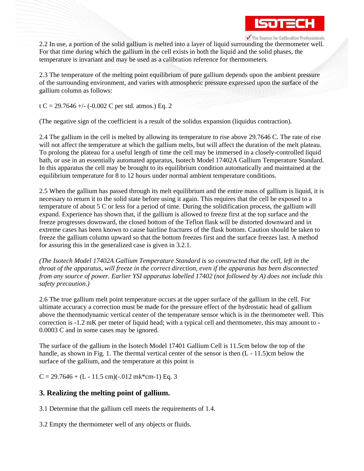

2.2 In use, a portion of the solid gallium is melted into a layer of liquid surrounding the thermometer well. For that time during which the gallium in the cell exists in both the liquid and the solid phases, the temperature is invariant and may be used as a calibration reference for thermometers.

2.3 The temperature of the melting point equilibrium of pure gallium depends upon the ambient pressure of the surrounding environment, and varies with atmospheric pressure expressed upon the surface of the gallium column as follows:

t C = 29.7646 +/- (-0.002 C per std. atmos.) Eq. 2

(The negative sign of the coefficient is a result of the solidus expansion (liquidus contraction).

2.4 The gallium in the cell is melted by allowing its temperature to rise above 29.7646 C. The rate of rise will not affect the temperature at which the gallium melts, but will affect the duration of the melt plateau. To prolong the plateau for a useful length of time the cell may be immersed in a closely-controlled liquid bath, or use in an essentially automated apparatus, Isotech Model 17402A Gallium Temperature Standard. In this apparatus the cell may be brought to its equilibrium condition automatically and maintained at the equilibrium temperature for 8 to 12 hours under normal ambient temperature conditions.

2.5 When the gallium has passed through its melt equilibrium and the entire mass of gallium is liquid, it is necessary to return it to the solid state before using it again. This requires that the cell be exposed to a temperature of about 5 C or less for a period of time. During the solidification process, the gallium will expand. Experience has shown that, if the gallium is allowed to freeze first at the top surface and the freeze progresses downward, the closed bottom of the Teflon flask will be distorted downward and in extreme cases has been known to cause hairline fractures of the flask bottom. Caution should be taken to freeze the gallium column upward so that the bottom freezes first and the surface freezes last. A method for assuring this in the generalized case is given in 3.2.1.

*(The Isotech Model 17402A Gallium Temperature Standard is so constructed that the cell, left in the throat of the apparatus, will freeze in the correct direction, even if the apparatus has been disconnected from any source of power. Earlier YSI apparatus labelled 17402 (not followed by A) does not include this safety precaution.)*

2.6 The true gallium melt point temperature occurs at the upper surface of the gallium in the cell. For ultimate accuracy a correction must be made for the pressure effect of the hydrostatic head of gallium above the thermodynamic vertical center of the temperature sensor which is in the thermometer well. This correction is -1.2 mK per meter of liquid head; with a typical cell and thermometer, this may amount to - 0.0003 C and in some cases may be ignored.

The surface of the gallium in the Isotech Model 17401 Gallium Cell is 11.5cm below the top of the handle, as shown in Fig. 1. The thermal vertical center of the sensor is then  $(L - 11.5)$ cm below the surface of the gallium, and the temperature at this point is

 $C = 29.7646 + (L - 11.5$  cm $)(-.012$  mk\*cm-1) Eq. 3

### **3. Realizing the melting point of gallium.**

3.1 Determine that the gallium cell meets the requirements of 1.4.

3.2 Empty the thermometer well of any objects or fluids.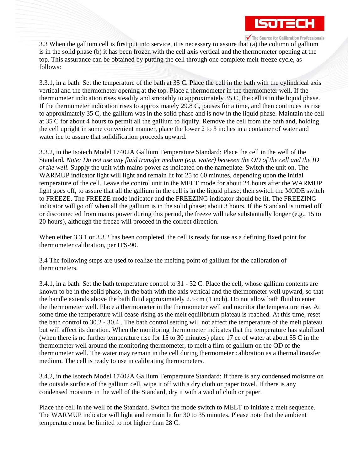

3.3 When the gallium cell is first put into service, it is necessary to assure that (a) the column of gallium is in the solid phase (b) it has been frozen with the cell axis vertical and the thermometer opening at the top. This assurance can be obtained by putting the cell through one complete melt-freeze cycle, as follows:

3.3.1, in a bath: Set the temperature of the bath at 35 C. Place the cell in the bath with the cylindrical axis vertical and the thermometer opening at the top. Place a thermometer in the thermometer well. If the thermometer indication rises steadily and smoothly to approximately 35 C, the cell is in the liquid phase. If the thermometer indication rises to approximately 29.8 C, pauses for a time, and then continues its rise to approximately 35 C, the gallium was in the solid phase and is now in the liquid phase. Maintain the cell at 35 C for about 4 hours to permit all the gallium to liquify. Remove the cell from the bath and, holding the cell upright in some convenient manner, place the lower 2 to 3 inches in a container of water and water ice to assure that solidification proceeds upward.

3.3.2, in the Isotech Model 17402A Gallium Temperature Standard: Place the cell in the well of the Standard*. Note: Do not use any fluid transfer medium (e.g. water) between the OD of the cell and the ID of the well.* Supply the unit with mains power as indicated on the nameplate. Switch the unit on. The WARMUP indicator light will light and remain lit for 25 to 60 minutes, depending upon the initial temperature of the cell. Leave the control unit in the MELT mode for about 24 hours after the WARMUP light goes off, to assure that all the gallium in the cell is in the liquid phase; then switch the MODE switch to FREEZE. The FREEZE mode indicator and the FREEZING indicator should be lit. The FREEZING indicator will go off when all the gallium is in the solid phase; about 3 hours. If the Standard is turned off or disconnected from mains power during this period, the freeze will take substantially longer (e.g., 15 to 20 hours), although the freeze will proceed in the correct direction.

When either 3.3.1 or 3.3.2 has been completed, the cell is ready for use as a defining fixed point for thermometer calibration, per ITS-90.

3.4 The following steps are used to realize the melting point of gallium for the calibration of thermometers.

3.4.1, in a bath: Set the bath temperature control to 31 - 32 C. Place the cell, whose gallium contents are known to be in the solid phase, in the bath with the axis vertical and the thermometer well upward, so that the handle extends above the bath fluid approximately 2.5 cm (1 inch). Do not allow bath fluid to enter the thermometer well. Place a thermometer in the thermometer well and monitor the temperature rise. At some time the temperature will cease rising as the melt equilibrium plateau is reached. At this time, reset the bath control to 30.2 - 30.4 . The bath control setting will not affect the temperature of the melt plateau but will affect its duration. When the monitoring thermometer indicates that the temperature has stabilized (when there is no further temperature rise for 15 to 30 minutes) place 17 cc of water at about 55 C in the thermometer well around the monitoring thermometer, to melt a film of gallium on the OD of the thermometer well. The water may remain in the cell during thermometer calibration as a thermal transfer medium. The cell is ready to use in calibrating thermometers.

3.4.2, in the Isotech Model 17402A Gallium Temperature Standard: If there is any condensed moisture on the outside surface of the gallium cell, wipe it off with a dry cloth or paper towel. If there is any condensed moisture in the well of the Standard, dry it with a wad of cloth or paper.

Place the cell in the well of the Standard. Switch the mode switch to MELT to initiate a melt sequence. The WARMUP indicator will light and remain lit for 30 to 35 minutes. Please note that the ambient temperature must be limited to not higher than 28 C.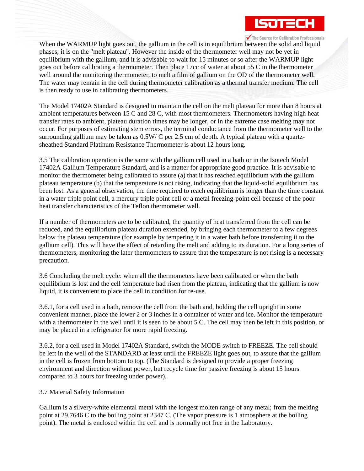

When the WARMUP light goes out, the gallium in the cell is in equilibrium between the solid and liquid phases; it is on the "melt plateau". However the inside of the thermometer well may not be yet in equilibrium with the gallium, and it is advisable to wait for 15 minutes or so after the WARMUP light goes out before calibrating a thermometer. Then place 17cc of water at about 55 C in the thermometer well around the monitoring thermometer, to melt a film of gallium on the OD of the thermometer well. The water may remain in the cell during thermometer calibration as a thermal transfer medium. The cell is then ready to use in calibrating thermometers.

The Model 17402A Standard is designed to maintain the cell on the melt plateau for more than 8 hours at ambient temperatures between 15 C and 28 C, with most thermometers. Thermometers having high heat transfer rates to ambient, plateau duration times may be longer, or in the extreme case melting may not occur. For purposes of estimating stem errors, the terminal conductance from the thermometer well to the surrounding gallium may be taken as  $0.5W/C$  per 2.5 cm of depth. A typical plateau with a quartzsheathed Standard Platinum Resistance Thermometer is about 12 hours long.

3.5 The calibration operation is the same with the gallium cell used in a bath or in the Isotech Model 17402A Gallium Temperature Standard, and is a matter for appropriate good practice. It is advisable to monitor the thermometer being calibrated to assure (a) that it has reached equilibrium with the gallium plateau temperature (b) that the temperature is not rising, indicating that the liquid-solid equilibrium has been lost. As a general observation, the time required to reach equilibrium is longer than the time constant in a water triple point cell, a mercury triple point cell or a metal freezing-point cell because of the poor heat transfer characteristics of the Teflon thermometer well.

If a number of thermometers are to be calibrated, the quantity of heat transferred from the cell can be reduced, and the equilibrium plateau duration extended, by bringing each thermometer to a few degrees below the plateau temperature (for example by tempering it in a water bath before transferring it to the gallium cell). This will have the effect of retarding the melt and adding to its duration. For a long series of thermometers, monitoring the later thermometers to assure that the temperature is not rising is a necessary precaution.

3.6 Concluding the melt cycle: when all the thermometers have been calibrated or when the bath equilibrium is lost and the cell temperature had risen from the plateau, indicating that the gallium is now liquid, it is convenient to place the cell in condition for re-use.

3.6.1, for a cell used in a bath, remove the cell from the bath and, holding the cell upright in some convenient manner, place the lower 2 or 3 inches in a container of water and ice. Monitor the temperature with a thermometer in the well until it is seen to be about 5 C. The cell may then be left in this position, or may be placed in a refrigerator for more rapid freezing.

3.6.2, for a cell used in Model 17402A Standard, switch the MODE switch to FREEZE. The cell should be left in the well of the STANDARD at least until the FREEZE light goes out, to assure that the gallium in the cell is frozen from bottom to top. (The Standard is designed to provide a proper freezing environment and direction without power, but recycle time for passive freezing is about 15 hours compared to 3 hours for freezing under power).

#### 3.7 Material Safety Information

Gallium is a silvery-white elemental metal with the longest molten range of any metal; from the melting point at 29.7646 C to the boiling point at 2347 C. (The vapor pressure is 1 atmosphere at the boiling point). The metal is enclosed within the cell and is normally not free in the Laboratory.